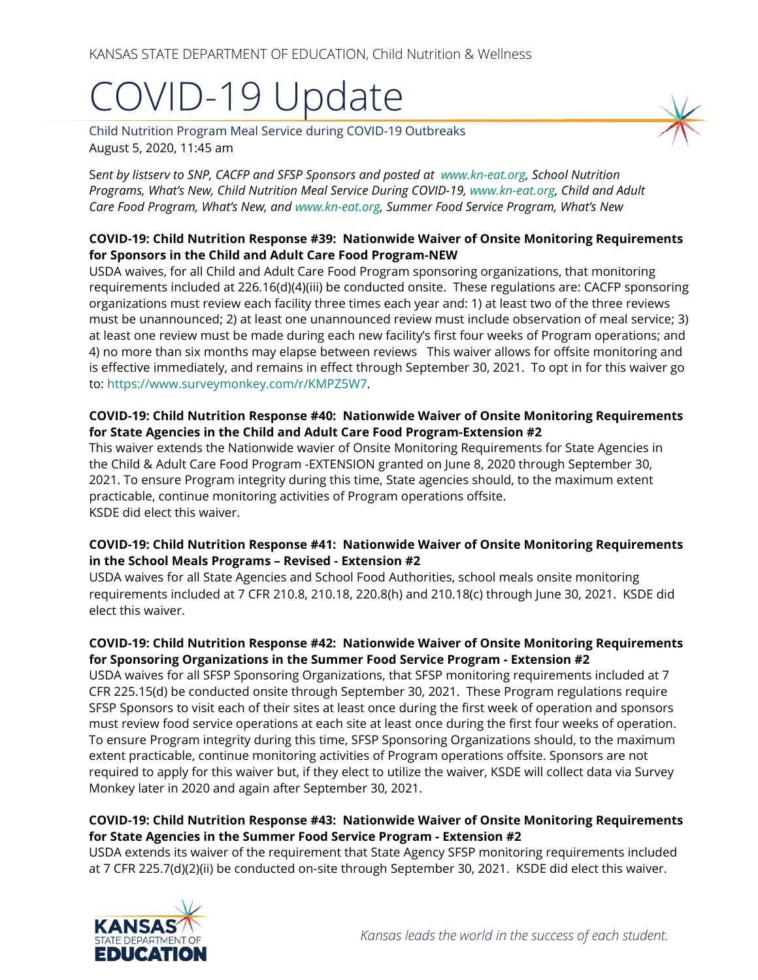# COVID-19 Update

Child Nutrition Program Meal Service during COVID-19 Outbreaks August 5, 2020, 11:45 am

S*ent by listserv to SNP, CACFP and SFSP Sponsors and posted at [www.kn-eat.org,](http://www.kn-eat.org/) School Nutrition Programs, What's New, Child Nutrition Meal Service During COVID-19[, www.kn-eat.org,](http://www.kn-eat.org/) Child and Adult Care Food Program, What's New, and [www.kn-eat.org,](http://www.kn-eat.org/) Summer Food Service Program, What's New*

#### **COVID-19: Child Nutrition Response #39: Nationwide Waiver of Onsite Monitoring Requirements for Sponsors in the Child and Adult Care Food Program-NEW**

USDA waives, for all Child and Adult Care Food Program sponsoring organizations, that monitoring requirements included at 226.16(d)(4)(iii) be conducted onsite. These regulations are: CACFP sponsoring organizations must review each facility three times each year and: 1) at least two of the three reviews must be unannounced; 2) at least one unannounced review must include observation of meal service; 3) at least one review must be made during each new facility's first four weeks of Program operations; and 4) no more than six months may elapse between reviews This waiver allows for offsite monitoring and is effective immediately, and remains in effect through September 30, 2021. To opt in for this waiver go to: [https://www.surveymonkey.com/r/KMPZ5W7.](https://www.surveymonkey.com/r/KMPZ5W7)

#### **COVID-19: Child Nutrition Response #40: Nationwide Waiver of Onsite Monitoring Requirements for State Agencies in the Child and Adult Care Food Program-Extension #2**

This waiver extends the Nationwide wavier of Onsite Monitoring Requirements for State Agencies in the Child & Adult Care Food Program -EXTENSION granted on June 8, 2020 through September 30, 2021. To ensure Program integrity during this time, State agencies should, to the maximum extent practicable, continue monitoring activities of Program operations offsite. KSDE did elect this waiver.

#### **COVID-19: Child Nutrition Response #41: Nationwide Waiver of Onsite Monitoring Requirements in the School Meals Programs – Revised - Extension #2**

USDA waives for all State Agencies and School Food Authorities, school meals onsite monitoring requirements included at 7 CFR 210.8, 210.18, 220.8(h) and 210.18(c) through June 30, 2021. KSDE did elect this waiver.

### **COVID-19: Child Nutrition Response #42: Nationwide Waiver of Onsite Monitoring Requirements for Sponsoring Organizations in the Summer Food Service Program - Extension #2**

USDA waives for all SFSP Sponsoring Organizations, that SFSP monitoring requirements included at 7 CFR 225.15(d) be conducted onsite through September 30, 2021. These Program regulations require SFSP Sponsors to visit each of their sites at least once during the first week of operation and sponsors must review food service operations at each site at least once during the first four weeks of operation. To ensure Program integrity during this time, SFSP Sponsoring Organizations should, to the maximum extent practicable, continue monitoring activities of Program operations offsite. Sponsors are not required to apply for this waiver but, if they elect to utilize the waiver, KSDE will collect data via Survey Monkey later in 2020 and again after September 30, 2021.

#### **COVID-19: Child Nutrition Response #43: Nationwide Waiver of Onsite Monitoring Requirements for State Agencies in the Summer Food Service Program - Extension #2**

USDA extends its waiver of the requirement that State Agency SFSP monitoring requirements included at 7 CFR 225.7(d)(2)(ii) be conducted on-site through September 30, 2021. KSDE did elect this waiver.